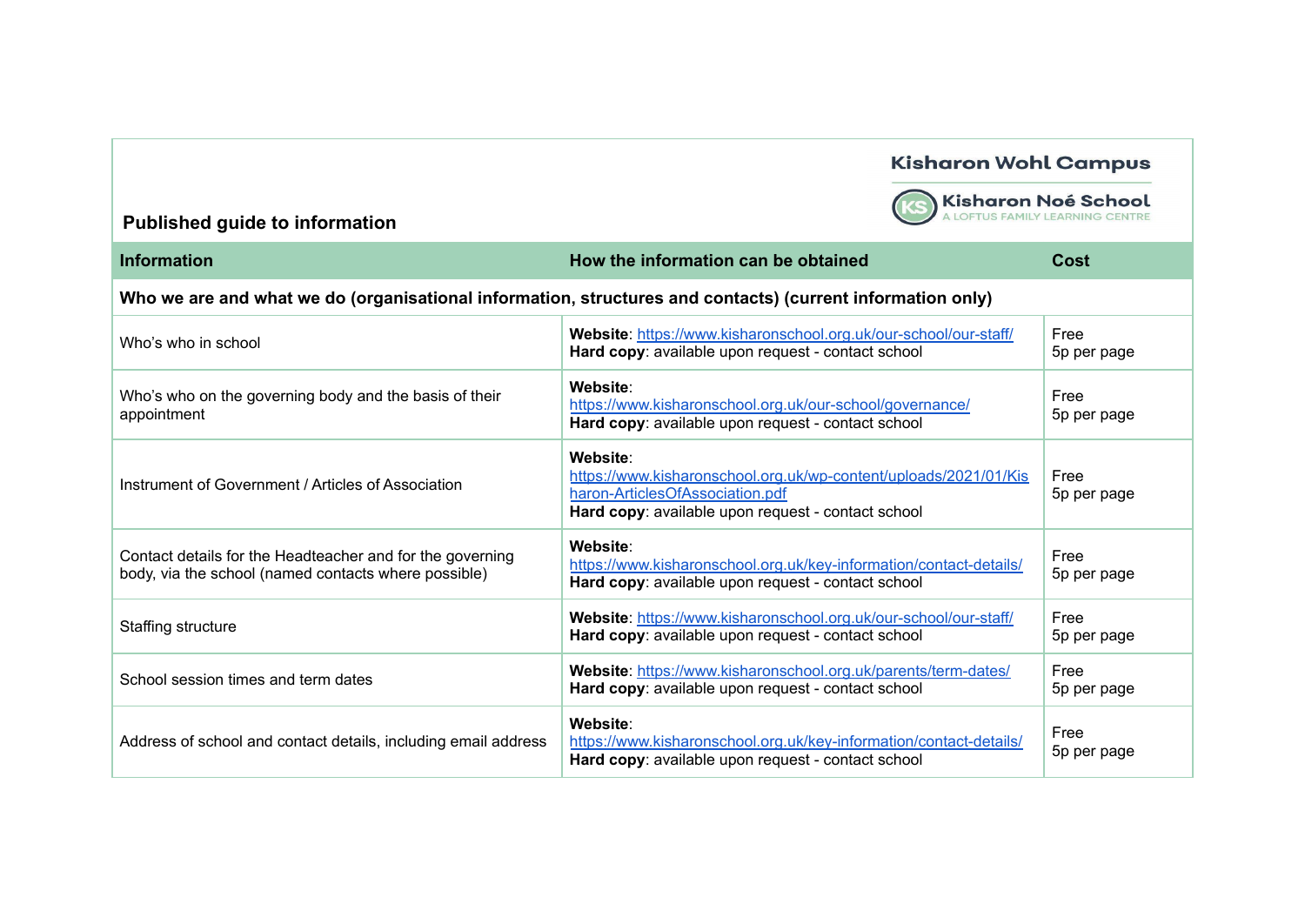

Kisharon Noé School

| <b>Information</b>                                                                                                | How the information can be obtained                                                                                                                                   | Cost                |
|-------------------------------------------------------------------------------------------------------------------|-----------------------------------------------------------------------------------------------------------------------------------------------------------------------|---------------------|
| Who we are and what we do (organisational information, structures and contacts) (current information only)        |                                                                                                                                                                       |                     |
| Who's who in school                                                                                               | Website: https://www.kisharonschool.org.uk/our-school/our-staff/<br>Hard copy: available upon request - contact school                                                | Free<br>5p per page |
| Who's who on the governing body and the basis of their<br>appointment                                             | Website:<br>https://www.kisharonschool.org.uk/our-school/governance/<br>Hard copy: available upon request - contact school                                            | Free<br>5p per page |
| Instrument of Government / Articles of Association                                                                | Website:<br>https://www.kisharonschool.org.uk/wp-content/uploads/2021/01/Kis<br>haron-ArticlesOfAssociation.pdf<br>Hard copy: available upon request - contact school | Free<br>5p per page |
| Contact details for the Headteacher and for the governing<br>body, via the school (named contacts where possible) | Website:<br>https://www.kisharonschool.org.uk/key-information/contact-details/<br>Hard copy: available upon request - contact school                                  | Free<br>5p per page |
| Staffing structure                                                                                                | Website: https://www.kisharonschool.org.uk/our-school/our-staff/<br>Hard copy: available upon request - contact school                                                | Free<br>5p per page |
| School session times and term dates                                                                               | Website: https://www.kisharonschool.org.uk/parents/term-dates/<br>Hard copy: available upon request - contact school                                                  | Free<br>5p per page |
| Address of school and contact details, including email address                                                    | Website:<br>https://www.kisharonschool.org.uk/key-information/contact-details/<br>Hard copy: available upon request - contact school                                  | Free<br>5p per page |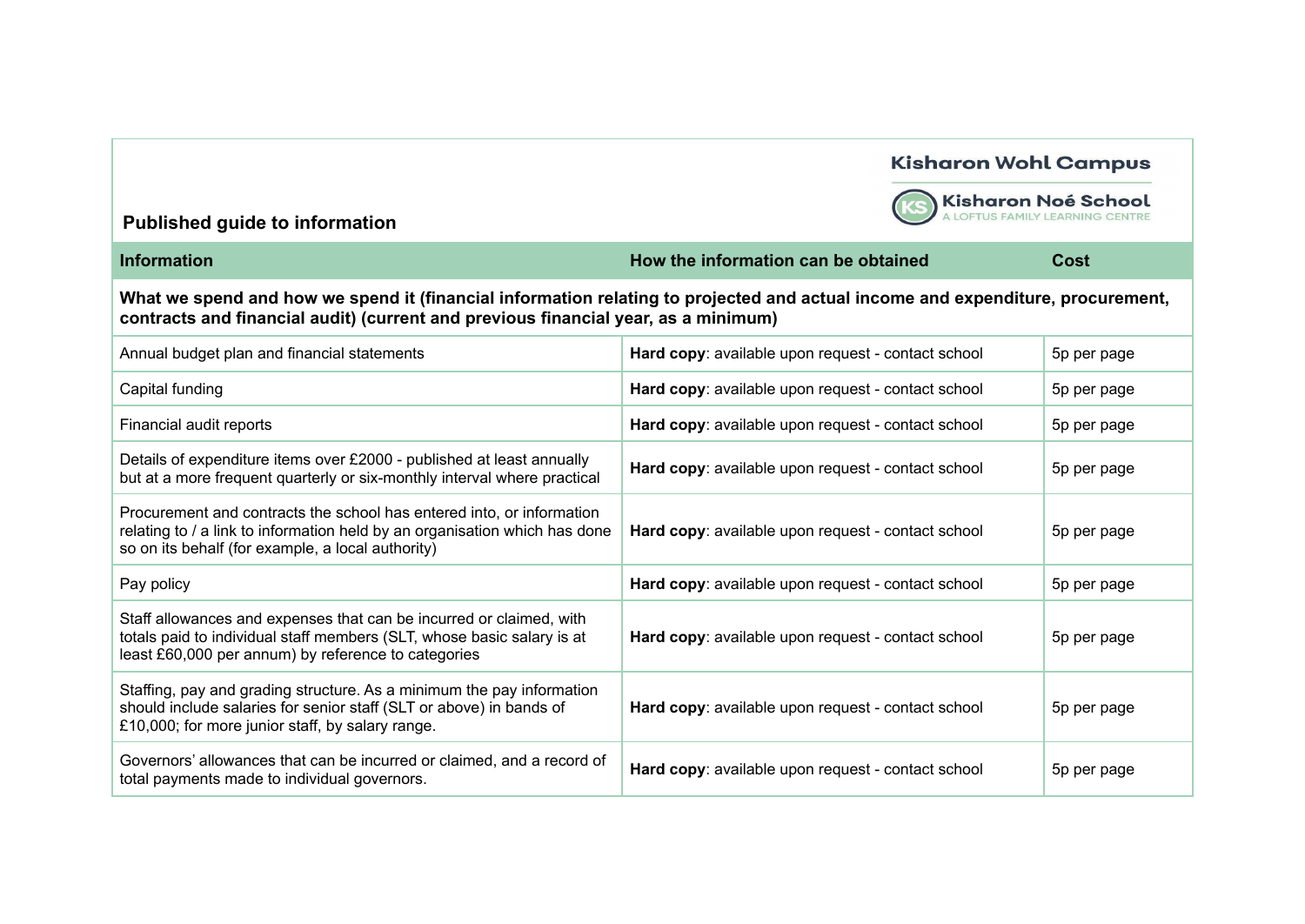

Kisharon Noé School

| <b>Information</b>                                                                                                                                                                                                   | How the information can be obtained                               | Cost        |  |
|----------------------------------------------------------------------------------------------------------------------------------------------------------------------------------------------------------------------|-------------------------------------------------------------------|-------------|--|
| What we spend and how we spend it (financial information relating to projected and actual income and expenditure, procurement,<br>contracts and financial audit) (current and previous financial year, as a minimum) |                                                                   |             |  |
| Annual budget plan and financial statements                                                                                                                                                                          | Hard copy: available upon request - contact school                | 5p per page |  |
| Capital funding                                                                                                                                                                                                      | Hard copy: available upon request - contact school                | 5p per page |  |
| Financial audit reports                                                                                                                                                                                              | Hard copy: available upon request - contact school<br>5p per page |             |  |
| Details of expenditure items over £2000 - published at least annually<br>but at a more frequent quarterly or six-monthly interval where practical                                                                    | Hard copy: available upon request - contact school                | 5p per page |  |
| Procurement and contracts the school has entered into, or information<br>relating to / a link to information held by an organisation which has done<br>so on its behalf (for example, a local authority)             | Hard copy: available upon request - contact school<br>5p per page |             |  |
| Pay policy                                                                                                                                                                                                           | Hard copy: available upon request - contact school<br>5p per page |             |  |
| Staff allowances and expenses that can be incurred or claimed, with<br>totals paid to individual staff members (SLT, whose basic salary is at<br>least £60,000 per annum) by reference to categories                 | Hard copy: available upon request - contact school<br>5p per page |             |  |
| Staffing, pay and grading structure. As a minimum the pay information<br>should include salaries for senior staff (SLT or above) in bands of<br>£10,000; for more junior staff, by salary range.                     | Hard copy: available upon request - contact school                | 5p per page |  |
| Governors' allowances that can be incurred or claimed, and a record of<br>total payments made to individual governors.                                                                                               | Hard copy: available upon request - contact school                | 5p per page |  |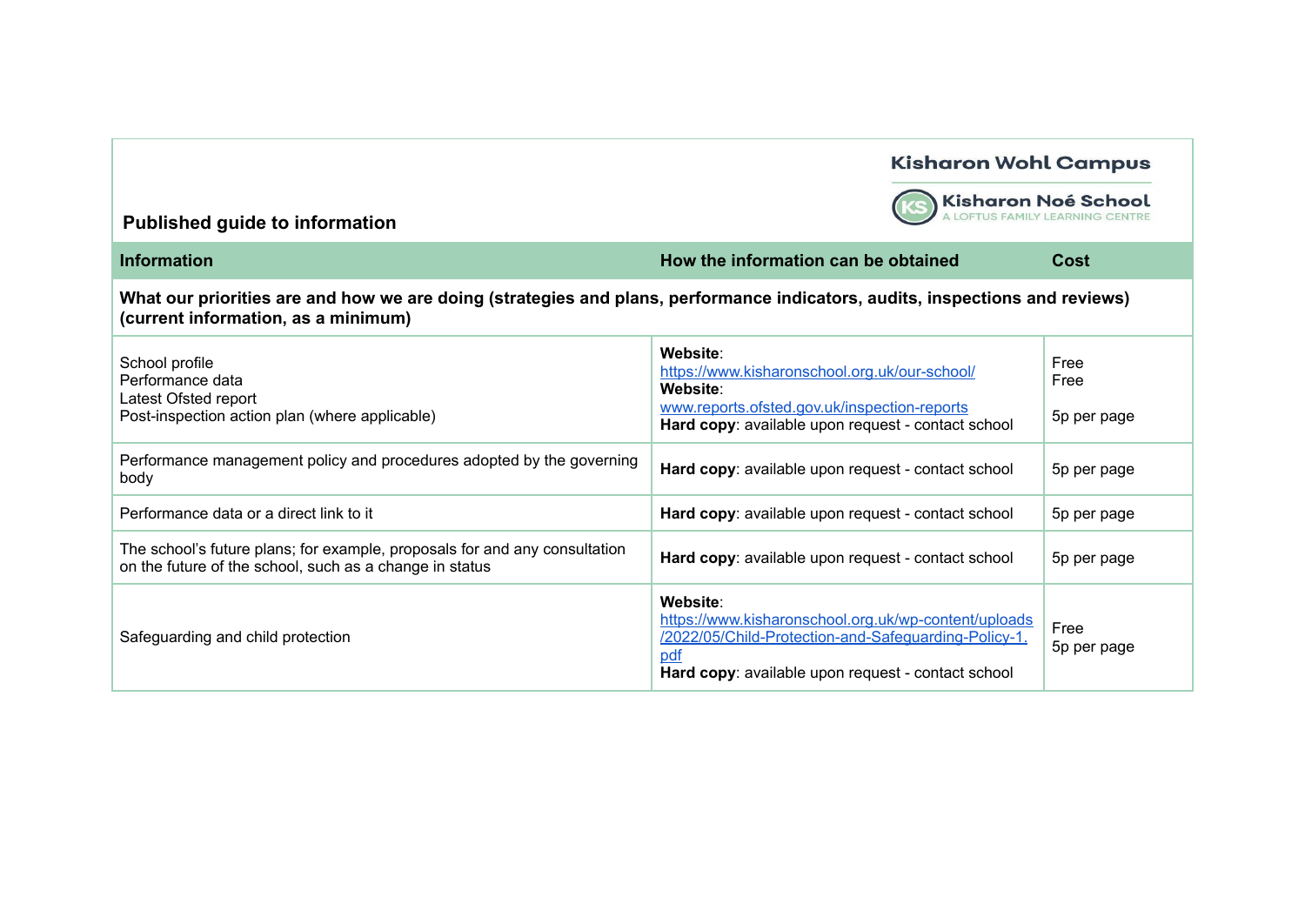

Kisharon Noé School

| <b>Information</b>                                                                                                                                                  | How the information can be obtained                                                                                                                                                   | Cost                        |
|---------------------------------------------------------------------------------------------------------------------------------------------------------------------|---------------------------------------------------------------------------------------------------------------------------------------------------------------------------------------|-----------------------------|
| What our priorities are and how we are doing (strategies and plans, performance indicators, audits, inspections and reviews)<br>(current information, as a minimum) |                                                                                                                                                                                       |                             |
| School profile<br>Performance data<br>Latest Ofsted report<br>Post-inspection action plan (where applicable)                                                        | Website:<br>https://www.kisharonschool.org.uk/our-school/<br>Website:<br>www.reports.ofsted.gov.uk/inspection-reports<br>Hard copy: available upon request - contact school           | Free<br>Free<br>5p per page |
| Performance management policy and procedures adopted by the governing<br>body                                                                                       | Hard copy: available upon request - contact school                                                                                                                                    | 5p per page                 |
| Performance data or a direct link to it                                                                                                                             | Hard copy: available upon request - contact school                                                                                                                                    | 5p per page                 |
| The school's future plans; for example, proposals for and any consultation<br>on the future of the school, such as a change in status                               | Hard copy: available upon request - contact school                                                                                                                                    | 5p per page                 |
| Safeguarding and child protection                                                                                                                                   | Website:<br>https://www.kisharonschool.org.uk/wp-content/uploads<br>/2022/05/Child-Protection-and-Safeguarding-Policy-1.<br>pdf<br>Hard copy: available upon request - contact school | Free<br>5p per page         |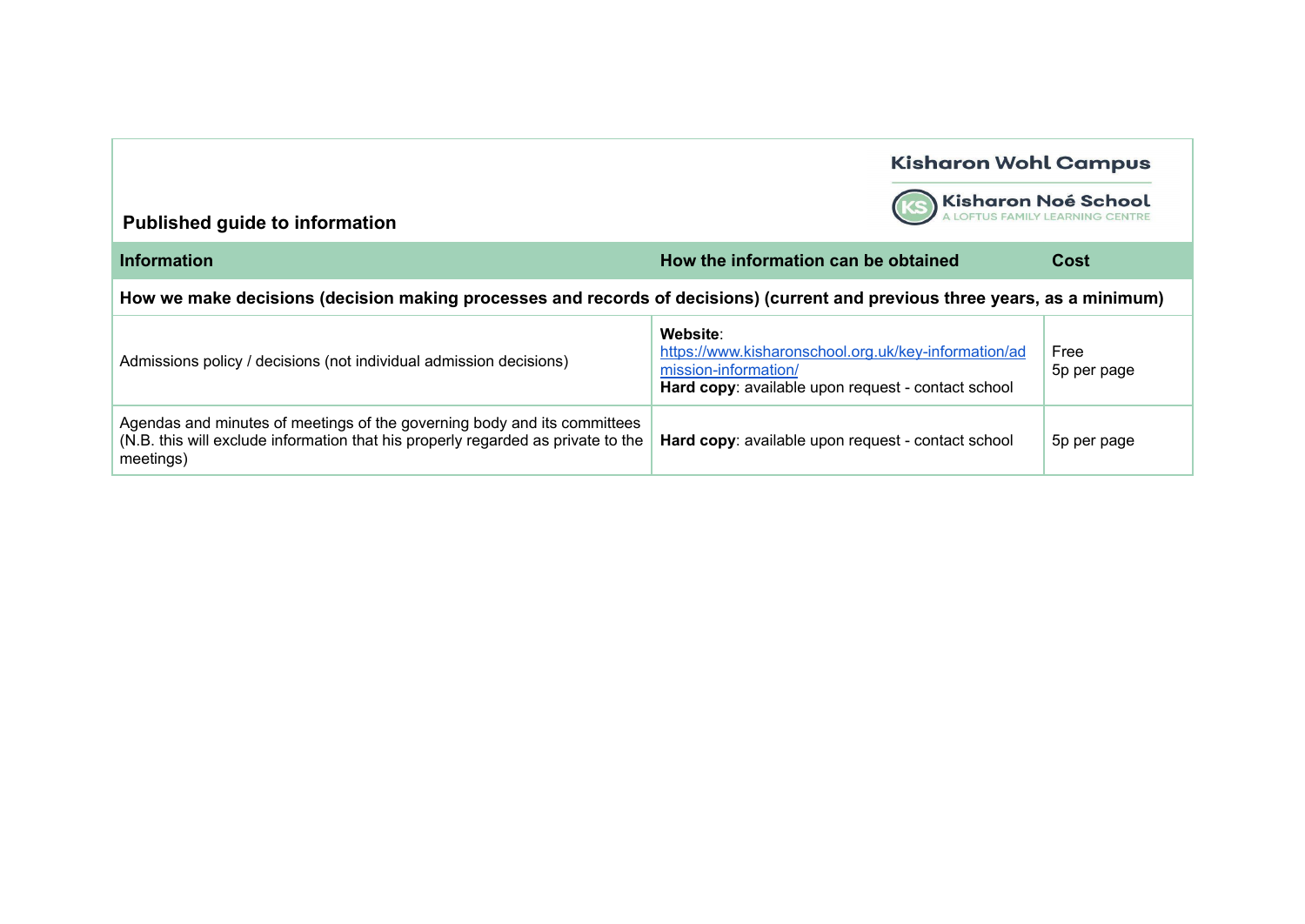

Kisharon Noé School

| <b>Information</b>                                                                                                                                                        | How the information can be obtained                                                                                                            | Cost                |
|---------------------------------------------------------------------------------------------------------------------------------------------------------------------------|------------------------------------------------------------------------------------------------------------------------------------------------|---------------------|
| How we make decisions (decision making processes and records of decisions) (current and previous three years, as a minimum)                                               |                                                                                                                                                |                     |
| Admissions policy / decisions (not individual admission decisions)                                                                                                        | Website:<br>https://www.kisharonschool.org.uk/key-information/ad<br>mission-information/<br>Hard copy: available upon request - contact school | Free<br>5p per page |
| Agendas and minutes of meetings of the governing body and its committees<br>(N.B. this will exclude information that his properly regarded as private to the<br>meetings) | Hard copy: available upon request - contact school                                                                                             | 5p per page         |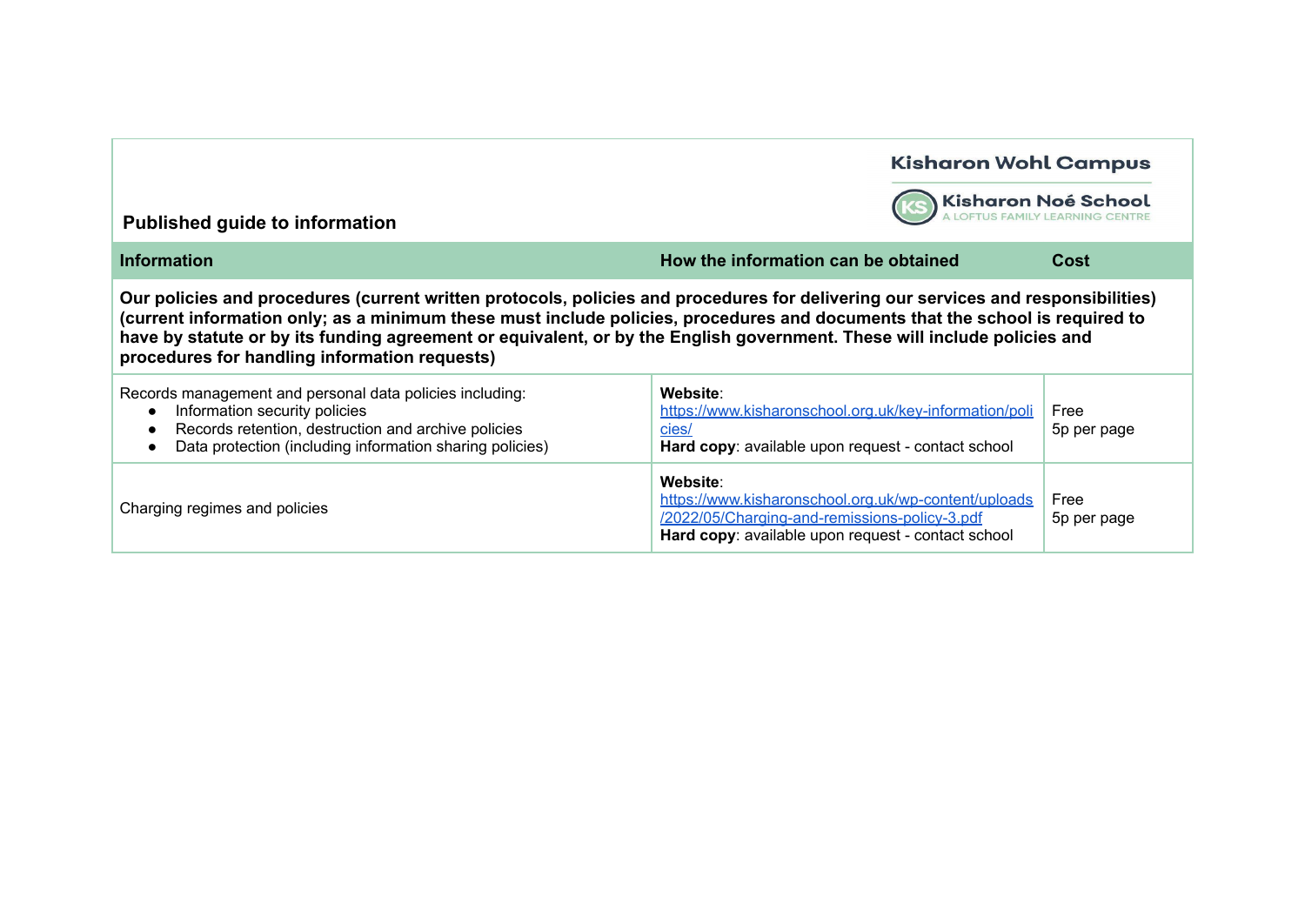| <b>Published guide to information</b>                                                                                                                                                                                                                                                                                                                                                                                                          | <b>Kisharon Wohl Campus</b>                                                                                                                                             | Kisharon Noé School |  |
|------------------------------------------------------------------------------------------------------------------------------------------------------------------------------------------------------------------------------------------------------------------------------------------------------------------------------------------------------------------------------------------------------------------------------------------------|-------------------------------------------------------------------------------------------------------------------------------------------------------------------------|---------------------|--|
| <b>Information</b>                                                                                                                                                                                                                                                                                                                                                                                                                             | How the information can be obtained                                                                                                                                     | Cost                |  |
| Our policies and procedures (current written protocols, policies and procedures for delivering our services and responsibilities)<br>(current information only; as a minimum these must include policies, procedures and documents that the school is required to<br>have by statute or by its funding agreement or equivalent, or by the English government. These will include policies and<br>procedures for handling information requests) |                                                                                                                                                                         |                     |  |
| Records management and personal data policies including:<br>Information security policies<br>$\bullet$<br>Records retention, destruction and archive policies<br>Data protection (including information sharing policies)                                                                                                                                                                                                                      | Website:<br>https://www.kisharonschool.org.uk/key-information/poli<br>cies/<br>Hard copy: available upon request - contact school                                       | Free<br>5p per page |  |
| Charging regimes and policies                                                                                                                                                                                                                                                                                                                                                                                                                  | Website:<br>https://www.kisharonschool.org.uk/wp-content/uploads<br>/2022/05/Charging-and-remissions-policy-3.pdf<br>Hard copy: available upon request - contact school | Free<br>5p per page |  |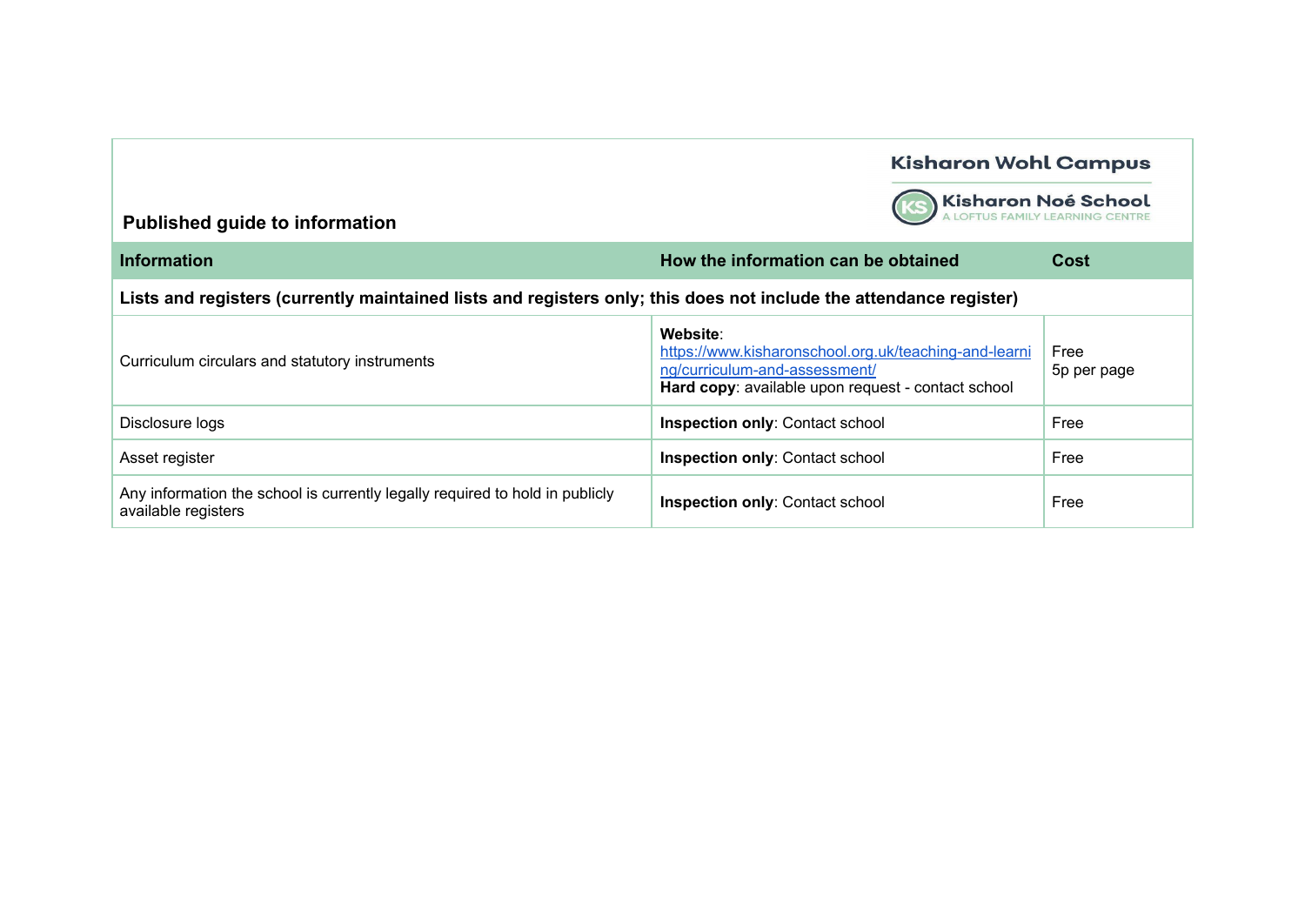**KS** 

Kisharon Noé School

| <b>Information</b>                                                                                                 | How the information can be obtained                                                                                                                      | Cost                |
|--------------------------------------------------------------------------------------------------------------------|----------------------------------------------------------------------------------------------------------------------------------------------------------|---------------------|
| Lists and registers (currently maintained lists and registers only; this does not include the attendance register) |                                                                                                                                                          |                     |
| Curriculum circulars and statutory instruments                                                                     | Website:<br>https://www.kisharonschool.org.uk/teaching-and-learni<br>ng/curriculum-and-assessment/<br>Hard copy: available upon request - contact school | Free<br>5p per page |
| Disclosure logs                                                                                                    | <b>Inspection only: Contact school</b>                                                                                                                   | Free                |
| Asset register                                                                                                     | <b>Inspection only: Contact school</b>                                                                                                                   | Free                |
| Any information the school is currently legally required to hold in publicly<br>available registers                | <b>Inspection only: Contact school</b>                                                                                                                   | Free                |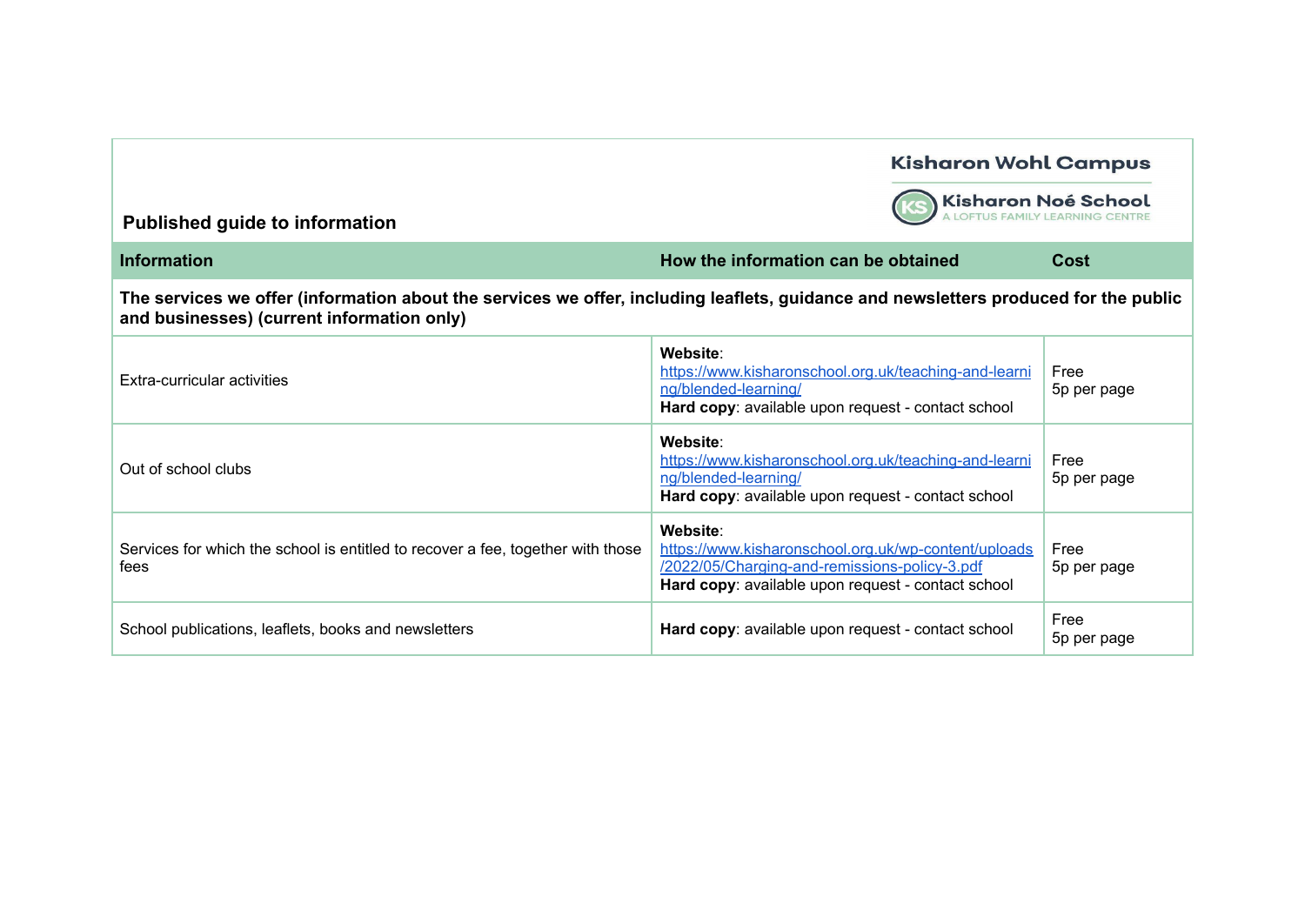

Kisharon Noé School

| <b>Information</b>                                                                                                                                                                 | How the information can be obtained                                                                                                                                     | Cost                |  |
|------------------------------------------------------------------------------------------------------------------------------------------------------------------------------------|-------------------------------------------------------------------------------------------------------------------------------------------------------------------------|---------------------|--|
| The services we offer (information about the services we offer, including leaflets, guidance and newsletters produced for the public<br>and businesses) (current information only) |                                                                                                                                                                         |                     |  |
| Extra-curricular activities                                                                                                                                                        | Website:<br>https://www.kisharonschool.org.uk/teaching-and-learni<br>ng/blended-learning/<br>Hard copy: available upon request - contact school                         | Free<br>5p per page |  |
| Out of school clubs                                                                                                                                                                | Website:<br>https://www.kisharonschool.org.uk/teaching-and-learni<br>ng/blended-learning/<br>Hard copy: available upon request - contact school                         | Free<br>5p per page |  |
| Services for which the school is entitled to recover a fee, together with those<br>fees                                                                                            | Website:<br>https://www.kisharonschool.org.uk/wp-content/uploads<br>/2022/05/Charging-and-remissions-policy-3.pdf<br>Hard copy: available upon request - contact school | Free<br>5p per page |  |
| School publications, leaflets, books and newsletters                                                                                                                               | Hard copy: available upon request - contact school                                                                                                                      | Free<br>5p per page |  |